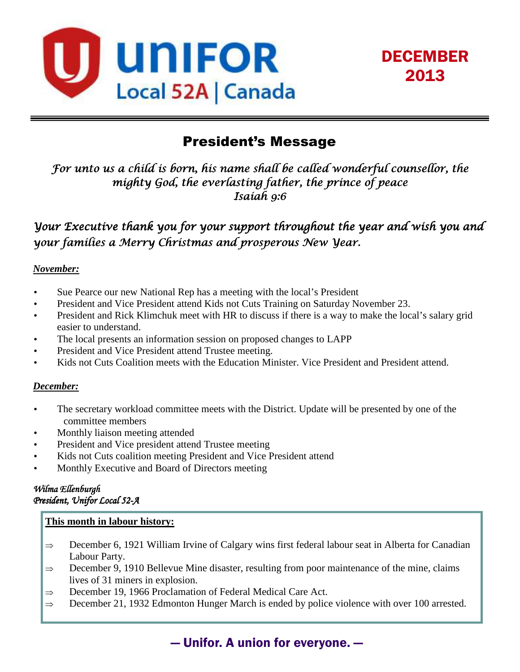



# President's Message

*For unto us a child is born, his name shall be called wonderful counsellor, the mighty God, the everlasting father, the prince of peace Isaiah 9:6* 

*Your Executive thank you for your support throughout the year and wish you and your families a Merry Christmas and prosperous New Year.* 

#### *November:*

- Sue Pearce our new National Rep has a meeting with the local's President
- President and Vice President attend Kids not Cuts Training on Saturday November 23.
- President and Rick Klimchuk meet with HR to discuss if there is a way to make the local's salary grid easier to understand.
- The local presents an information session on proposed changes to LAPP
- President and Vice President attend Trustee meeting.
- Kids not Cuts Coalition meets with the Education Minister. Vice President and President attend.

#### *December:*

- The secretary workload committee meets with the District. Update will be presented by one of the committee members
- Monthly liaison meeting attended
- President and Vice president attend Trustee meeting
- Kids not Cuts coalition meeting President and Vice President attend
- Monthly Executive and Board of Directors meeting

#### *Wilma Ellenburgh Wilma Ellenburgh President, Unifor Local 52- Local 52-A*

#### **This month in labour history:**

- ⇒ December 6, 1921 William Irvine of Calgary wins first federal labour seat in Alberta for Canadian Labour Party.
- $\Rightarrow$  December 9, 1910 Bellevue Mine disaster, resulting from poor maintenance of the mine, claims lives of 31 miners in explosion.
- ⇒ December 19, 1966 Proclamation of Federal Medical Care Act.
- $\Rightarrow$  December 21, 1932 Edmonton Hunger March is ended by police violence with over 100 arrested.

## — Unifor. A union for everyone. —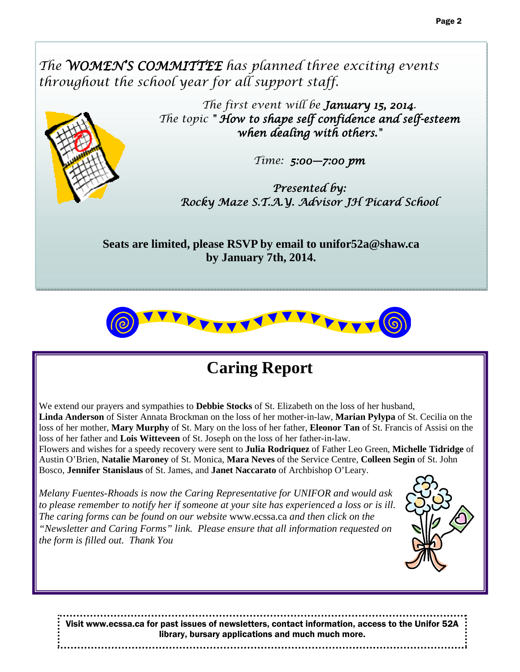The **WOMEN'S COMMITTEE** has planned three exciting events *throughout the school year for all support staff.* 



*The first event will be January 15, 2014. The topic " How to shape self confidence and self confidence and self-esteem when dealing with others."* 

*Time: 5:00—7:00 pm 7:00 pm* 

*Presented by: Rocky Maze S.T.A.Y. Advisor JH Picard School Rocky Maze JH Picard School* 

**Seats are limited, please RSVP by email to unifor52a@shaw.ca by January 7th, 2014.**



# **Caring Report**

We extend our prayers and sympathies to **Debbie Stocks** of St. Elizabeth on the loss of her husband, **Linda Anderson** of Sister Annata Brockman on the loss of her mother-in-law, **Marian Pylypa** of St. Cecilia on the loss of her mother, **Mary Murphy** of St. Mary on the loss of her father, **Eleonor Tan** of St. Francis of Assisi on the loss of her father and **Lois Witteveen** of St. Joseph on the loss of her father-in-law.

Flowers and wishes for a speedy recovery were sent to **Julia Rodriquez** of Father Leo Green, **Michelle Tidridge** of Austin O'Brien, **Natalie Maroney** of St. Monica, **Mara Neves** of the Service Centre, **Colleen Segin** of St. John Bosco, **Jennifer Stanislaus** of St. James, and **Janet Naccarato** of Archbishop O'Leary.

*Melany Fuentes-Rhoads is now the Caring Representative for UNIFOR and would ask to please remember to notify her if someone at your site has experienced a loss or is ill. The caring forms can be found on our website* www.ecssa.ca *and then click on the "Newsletter and Caring Forms" link. Please ensure that all information requested on the form is filled out. Thank You* 



Visit www.ecssa.ca for past issues of newsletters, contact information, access to the Unifor 52A library, bursary applications and much much more.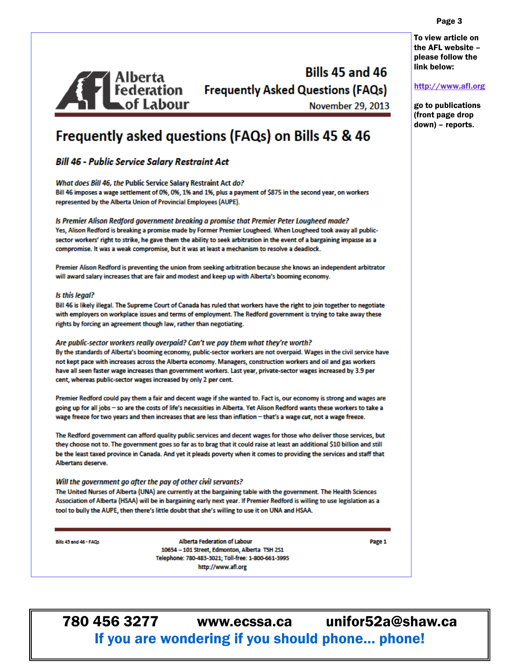To view article on the AFL website please follow the link below:

http://www.afl.org

go to publications (front page drop down) - reports.

**Bills 45 and 46** Bills 45 and 46<br>| Federation | Frequently Asked Questions (FAQs)<br>| November 29, 2013

**November 29, 2013** 

# **Frequently asked questions (FAQs) on Bills 45 & 46**

#### **Bill 46 - Public Service Salary Restraint Act**

What does Bill 46, the Public Service Salary Restraint Act do?

Bill 46 imposes a wage settlement of 0%, 0%, 1% and 1%, plus a payment of \$875 in the second year, on workers represented by the Alberta Union of Provincial Employees (AUPE).

Is Premier Alison Redford government breaking a promise that Premier Peter Lougheed made? Yes, Alison Redford is breaking a promise made by Former Premier Lougheed. When Lougheed took away all publicsector workers' right to strike, he gave them the ability to seek arbitration in the event of a bargaining impasse as a compromise. It was a weak compromise, but it was at least a mechanism to resolve a deadlock.

Premier Alison Redford is preventing the union from seeking arbitration because she knows an independent arbitrator will award salary increases that are fair and modest and keep up with Alberta's booming economy.

#### Is this legal?

Bill 46 is likely illegal. The Supreme Court of Canada has ruled that workers have the right to join together to negotiate with employers on workplace issues and terms of employment. The Redford government is trying to take away these rights by forcing an agreement though law, rather than negotiating.

#### Are public-sector workers really overpaid? Can't we pay them what they're worth?

By the standards of Alberta's booming economy, public-sector workers are not overpaid. Wages in the civil service have not kept pace with increases across the Alberta economy. Managers, construction workers and oil and gas workers have all seen faster wage increases than government workers. Last year, private-sector wages increased by 3.9 per cent, whereas public-sector wages increased by only 2 per cent.

Premier Redford could pay them a fair and decent wage if she wanted to. Fact is, our economy is strong and wages are going up for all jobs - so are the costs of life's necessities in Alberta. Yet Alison Redford wants these workers to take a wage freeze for two years and then increases that are less than inflation - that's a wage cut, not a wage freeze.

The Redford government can afford quality public services and decent wages for those who deliver those services, but they choose not to. The government goes so far as to brag that it could raise at least an additional \$10 billion and still be the least taxed province in Canada. And yet it pleads poverty when it comes to providing the services and staff that Albertans deserve.

#### Will the government go after the pay of other civil servants?

The United Nurses of Alberta (UNA) are currently at the bargaining table with the government. The Health Sciences Association of Alberta (HSAA) will be in bargaining early next year. If Premier Redford is willing to use legislation as a tool to bully the AUPE, then there's little doubt that she's willing to use it on UNA and HSAA.

Bills 45 and 46 - FAQs

**Alberta Federation of Labour** 10654 - 101 Street, Edmonton, Alberta T5H 2S1 Telephone: 780-483-3021; Toll-free: 1-800-661-3995 http://www.afl.org

Page 1

unifor52a@shaw.ca 780 456 3277 www.ecssa.ca If you are wondering if you should phone... phone!

#### Page 3